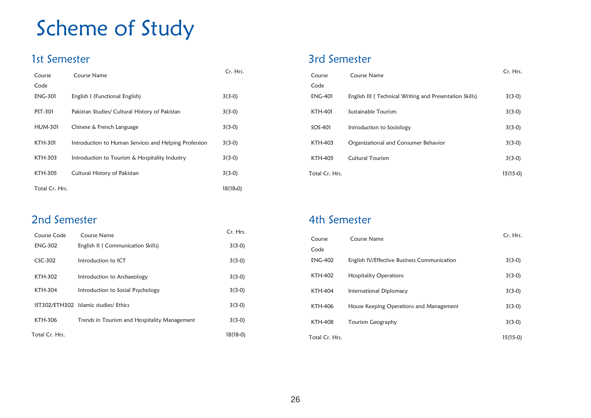# Scheme of Study

## 1st Semester

| Course         | Course Name                                           | Cr. Hrs.   |
|----------------|-------------------------------------------------------|------------|
| Code           |                                                       |            |
| <b>ENG-301</b> | English I (Functional English)                        | $3(3-0)$   |
| PST-301        | Pakistan Studies/ Cultural History of Pakistan        | $3(3-0)$   |
| <b>HUM-301</b> | Chinese & French Language                             | $3(3-0)$   |
| KTH-301        | Introduction to Human Services and Helping Profession | $3(3-0)$   |
| KTH-303        | Introduction to Tourism & Hospitality Industry        | $3(3-0)$   |
| KTH-305        | Cultural History of Pakistan                          | $3(3-0)$   |
| Total Cr. Hrs. |                                                       | $18(18-0)$ |

### 3rd Semester

| Course         | Course Name                                             | Cr. Hrs.   |
|----------------|---------------------------------------------------------|------------|
| Code           |                                                         |            |
| <b>ENG-401</b> | English III (Technical Writing and Presentation Skills) | $3(3-0)$   |
| <b>KTH-401</b> | Sustainable Tourism                                     | $3(3-0)$   |
| $SOS-401$      | Introduction to Sociology                               | $3(3-0)$   |
| <b>KTH-403</b> | Organizational and Consumer Behavior                    | $3(3-0)$   |
| <b>KTH-405</b> | Cultural Tourism                                        | $3(3-0)$   |
| Total Cr. Hrs. |                                                         | $15(15-0)$ |

#### 2nd Semester

| Course Code    | Course Name                                  | Cr. Hrs.   |  |
|----------------|----------------------------------------------|------------|--|
| <b>ENG-302</b> | English II (Communication Skills)            | $3(3-0)$   |  |
| $CSC-302$      | Introduction to ICT                          | $3(3-0)$   |  |
| KTH-302        | Introduction to Archaeology                  | $3(3-0)$   |  |
| KTH-304        | Introduction to Social Psychology            | $3(3-0)$   |  |
|                | IST302/ETH302 Islamic studies/Ethics         | $3(3-0)$   |  |
| KTH-306        | Trends in Tourism and Hospitality Management | $3(3-0)$   |  |
| Total Cr. Hrs. |                                              | $18(18-0)$ |  |

## 4th Semester

| Course         | Course Name                                 | Cr. Hrs.   |
|----------------|---------------------------------------------|------------|
| Code           |                                             |            |
| <b>ENG-402</b> | English IV/Effective Business Communication | $3(3-0)$   |
| KTH-402        | <b>Hospitality Operations</b>               | $3(3-0)$   |
| <b>KTH-404</b> | International Diplomacy                     | $3(3-0)$   |
| KTH-406        | House Keeping Operations and Management     | $3(3-0)$   |
| <b>KTH-408</b> | Tourism Geography                           | $3(3-0)$   |
| Total Cr. Hrs. |                                             | $15(15-0)$ |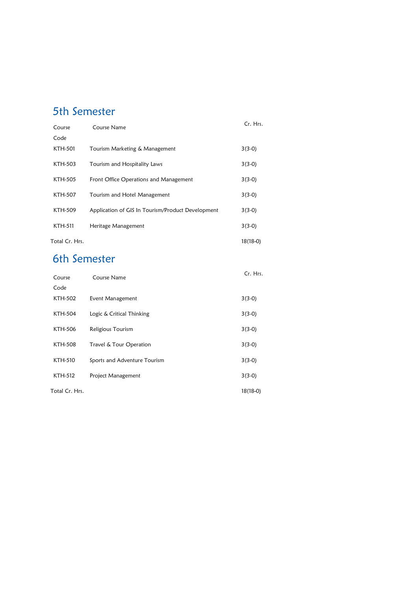# 5th Semester

| ואנאוואכ וווכ  |                                                   |            |  |
|----------------|---------------------------------------------------|------------|--|
| Course         | Course Name                                       | Cr. Hrs.   |  |
| Code           |                                                   |            |  |
| <b>KTH-501</b> | Tourism Marketing & Management                    | $3(3-0)$   |  |
| KTH-503        | Tourism and Hospitality Laws                      | $3(3-0)$   |  |
| KTH-505        | Front Office Operations and Management            | $3(3-0)$   |  |
| KTH-507        | Tourism and Hotel Management                      | $3(3-0)$   |  |
| KTH-509        | Application of GIS In Tourism/Product Development | $3(3-0)$   |  |
| KTH-511        | Heritage Management                               | $3(3-0)$   |  |
| Total Cr. Hrs. |                                                   | $18(18-0)$ |  |

## 6th Semester

| Course         | Course Name                  | Cr. Hrs.   |
|----------------|------------------------------|------------|
| Code           |                              |            |
| KTH-502        | Event Management             | $3(3-0)$   |
| <b>KTH-504</b> | Logic & Critical Thinking    | $3(3-0)$   |
| KTH-506        | Religious Tourism            | $3(3-0)$   |
| <b>KTH-508</b> | Travel & Tour Operation      | $3(3-0)$   |
| KTH-510        | Sports and Adventure Tourism | $3(3-0)$   |
| KTH-512        | Project Management           | $3(3-0)$   |
| Total Cr. Hrs. |                              | $18(18-0)$ |